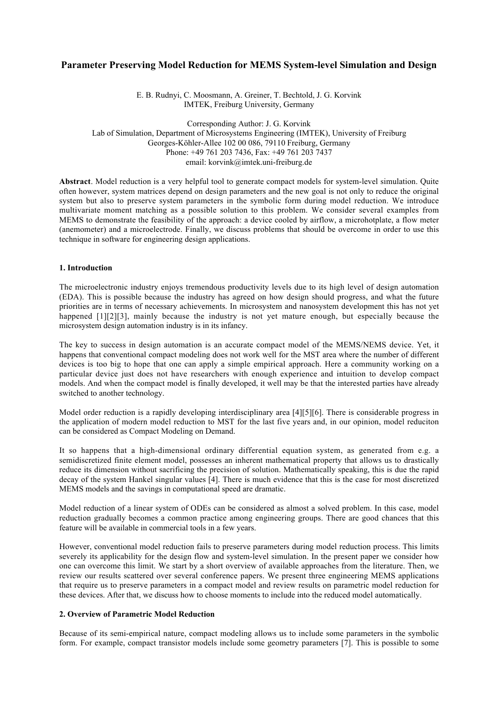# **Parameter Preserving Model Reduction for MEMS System-level Simulation and Design**

E. B. Rudnyi, C. Moosmann, A. Greiner, T. Bechtold, J. G. Korvink IMTEK, Freiburg University, Germany

Corresponding Author: J. G. Korvink Lab of Simulation, Department of Microsystems Engineering (IMTEK), University of Freiburg Georges-Köhler-Allee 102 00 086, 79110 Freiburg, Germany Phone: +49 761 203 7436, Fax: +49 761 203 7437 email: korvink@imtek.uni-freiburg.de

**Abstract**. Model reduction is a very helpful tool to generate compact models for system-level simulation. Quite often however, system matrices depend on design parameters and the new goal is not only to reduce the original system but also to preserve system parameters in the symbolic form during model reduction. We introduce multivariate moment matching as a possible solution to this problem. We consider several examples from MEMS to demonstrate the feasibility of the approach: a device cooled by airflow, a microhotplate, a flow meter (anemometer) and a microelectrode. Finally, we discuss problems that should be overcome in order to use this technique in software for engineering design applications.

## **1. Introduction**

The microelectronic industry enjoys tremendous productivity levels due to its high level of design automation (EDA). This is possible because the industry has agreed on how design should progress, and what the future priorities are in terms of necessary achievements. In microsystem and nanosystem development this has not yet happened [1][2][3], mainly because the industry is not yet mature enough, but especially because the microsystem design automation industry is in its infancy.

The key to success in design automation is an accurate compact model of the MEMS/NEMS device. Yet, it happens that conventional compact modeling does not work well for the MST area where the number of different devices is too big to hope that one can apply a simple empirical approach. Here a community working on a particular device just does not have researchers with enough experience and intuition to develop compact models. And when the compact model is finally developed, it well may be that the interested parties have already switched to another technology.

Model order reduction is a rapidly developing interdisciplinary area [4][5][6]. There is considerable progress in the application of modern model reduction to MST for the last five years and, in our opinion, model reduciton can be considered as Compact Modeling on Demand.

It so happens that a high-dimensional ordinary differential equation system, as generated from e.g. a semidiscretized finite element model, possesses an inherent mathematical property that allows us to drastically reduce its dimension without sacrificing the precision of solution. Mathematically speaking, this is due the rapid decay of the system Hankel singular values [4]. There is much evidence that this is the case for most discretized MEMS models and the savings in computational speed are dramatic.

Model reduction of a linear system of ODEs can be considered as almost a solved problem. In this case, model reduction gradually becomes a common practice among engineering groups. There are good chances that this feature will be available in commercial tools in a few years.

However, conventional model reduction fails to preserve parameters during model reduction process. This limits severely its applicability for the design flow and system-level simulation. In the present paper we consider how one can overcome this limit. We start by a short overview of available approaches from the literature. Then, we review our results scattered over several conference papers. We present three engineering MEMS applications that require us to preserve parameters in a compact model and review results on parametric model reduction for these devices. After that, we discuss how to choose moments to include into the reduced model automatically.

#### **2. Overview of Parametric Model Reduction**

Because of its semi-empirical nature, compact modeling allows us to include some parameters in the symbolic form. For example, compact transistor models include some geometry parameters [7]. This is possible to some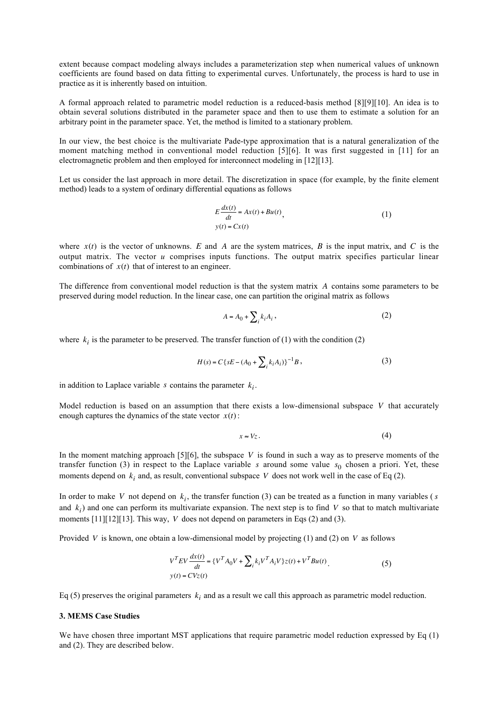extent because compact modeling always includes a parameterization step when numerical values of unknown coefficients are found based on data fitting to experimental curves. Unfortunately, the process is hard to use in practice as it is inherently based on intuition.

A formal approach related to parametric model reduction is a reduced-basis method [8][9][10]. An idea is to obtain several solutions distributed in the parameter space and then to use them to estimate a solution for an arbitrary point in the parameter space. Yet, the method is limited to a stationary problem.

In our view, the best choice is the multivariate Pade-type approximation that is a natural generalization of the moment matching method in conventional model reduction [5][6]. It was first suggested in [11] for an electromagnetic problem and then employed for interconnect modeling in [12][13].

Let us consider the last approach in more detail. The discretization in space (for example, by the finite element method) leads to a system of ordinary differential equations as follows

$$
E\frac{dx(t)}{dt} = Ax(t) + Bu(t),
$$
  
y(t) = Cx(t) (1)

output matrix. The vector *u* comprises inputs functions. The output matrix specifies particular linear where  $x(t)$  is the vector of unknowns. E and A are the system matrices, B is the input matrix, and C is the combinations of  $x(t)$  that of interest to an engineer.

The difference from conventional model reduction is that the system matrix A contains some parameters to be preserved during model reduction. In the linear case, one can partition the original matrix as follows

$$
A = A_0 + \sum_i k_i A_i \,,\tag{2}
$$

where  $k_i$  is the parameter to be preserved. The transfer function of (1) with the condition (2)

$$
H(s) = C\{sE - (A_0 + \sum_i k_i A_i)\}^{-1}B,
$$
\n(3)

in addition to Laplace variable  $s$  contains the parameter  $k_i$ .

dentified in the state vector Model reduction is based on an assumption that there exists a low-dimensional subspace *V* that accurately enough captures the dynamics of the state vector  $x(t)$ :

$$
x \approx Vz. \tag{4}
$$

In the moment matching approach [5][6], the subspace  $V$  is found in such a way as to preserve moments of the transfer function (3) in respect to the Laplace variable s around some value  $s_0$  chosen a priori. Yet, these moments depend on  $k_i$  and, as result, conventional subspace V does not work well in the case of Eq (2).

In order to make V not depend on  $k_i$ , the transfer function (3) can be treated as a function in many variables (s ∴<br>. moments  $[11][12][13]$ . This way, V does not depend on parameters in Eqs (2) and (3). and  $k_i$ ) and one can perform its multivariate expansion. The next step is to find  $V$  so that to match multivariate

 $\mathbf{d}$  V is known one of Provided *V* is known, one obtain a low-dimensional model by projecting (1) and (2) on *V* as follows

$$
V^{T}EV \frac{dx(t)}{dt} = \{V^{T}A_{0}V + \sum_{i} k_{i}V^{T}A_{i}V\}z(t) + V^{T}Bu(t) \tag{5}
$$
  

$$
y(t) = CVz(t)
$$

Eq (5) preserves the original parameters  $k_i$  and as a result we call this approach as parametric model reduction.

#### **3. MEMS Case Studies**

We have chosen three important MST applications that require parametric model reduction expressed by Eq (1) and (2). They are described below.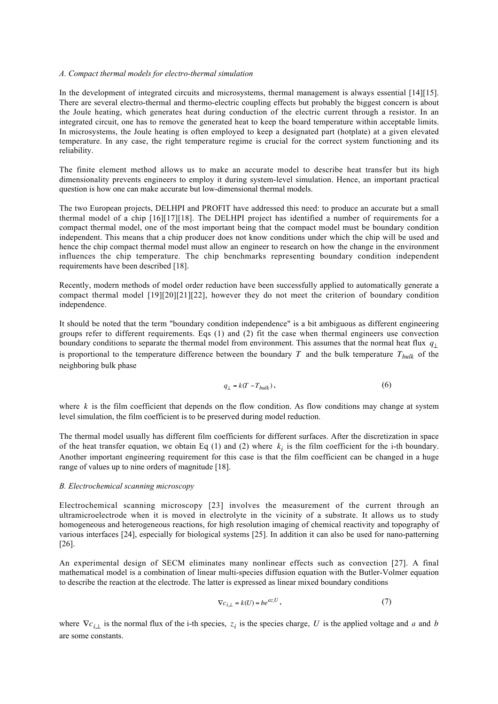#### *A. Compact thermal models for electro-thermal simulation*

In the development of integrated circuits and microsystems, thermal management is always essential [14][15]. There are several electro-thermal and thermo-electric coupling effects but probably the biggest concern is about the Joule heating, which generates heat during conduction of the electric current through a resistor. In an integrated circuit, one has to remove the generated heat to keep the board temperature within acceptable limits. In microsystems, the Joule heating is often employed to keep a designated part (hotplate) at a given elevated temperature. In any case, the right temperature regime is crucial for the correct system functioning and its reliability.

The finite element method allows us to make an accurate model to describe heat transfer but its high dimensionality prevents engineers to employ it during system-level simulation. Hence, an important practical question is how one can make accurate but low-dimensional thermal models.

The two European projects, DELHPI and PROFIT have addressed this need: to produce an accurate but a small thermal model of a chip [16][17][18]. The DELHPI project has identified a number of requirements for a compact thermal model, one of the most important being that the compact model must be boundary condition independent. This means that a chip producer does not know conditions under which the chip will be used and hence the chip compact thermal model must allow an engineer to research on how the change in the environment influences the chip temperature. The chip benchmarks representing boundary condition independent requirements have been described [18].

Recently, modern methods of model order reduction have been successfully applied to automatically generate a compact thermal model [19][20][21][22], however they do not meet the criterion of boundary condition independence.

It should be noted that the term "boundary condition independence" is a bit ambiguous as different engineering groups refer to different requirements. Eqs (1) and (2) fit the case when thermal engineers use convection boundary conditions to separate the thermal model from environment. This assumes that the normal heat flux *q*⊥ is proportional to the temperature difference between the boundary  $T$  and the bulk temperature  $T_{bulk}$  of the neighboring bulk phase

$$
q_{\perp} = k(T - T_{bulk}),\tag{6}
$$

level simulation, the film coefficient is to be preserved during model reduction. where  $k$  is the film coefficient that depends on the flow condition. As flow conditions may change at system

The thermal model usually has different film coefficients for different surfaces. After the discretization in space of the heat transfer equation, we obtain Eq  $(1)$  and  $(2)$  where  $k_i$  is the film coefficient for the i-th boundary. Another important engineering requirement for this case is that the film coefficient can be changed in a huge range of values up to nine orders of magnitude [18].

#### *B. Electrochemical scanning microscopy*

Electrochemical scanning microscopy [23] involves the measurement of the current through an ultramicroelectrode when it is moved in electrolyte in the vicinity of a substrate. It allows us to study homogeneous and heterogeneous reactions, for high resolution imaging of chemical reactivity and topography of various interfaces [24], especially for biological systems [25]. In addition it can also be used for nano-patterning [26].

An experimental design of SECM eliminates many nonlinear effects such as convection [27]. A final mathematical model is a combination of linear multi-species diffusion equation with the Butler-Volmer equation to describe the reaction at the electrode. The latter is expressed as linear mixed boundary conditions

$$
\nabla c_{i,\perp} = k(U) = b e^{a z_i U},\tag{7}
$$

where  $\nabla c_{i,\perp}$  is the normal flux of the i-th species,  $z_i$  is the species charge, U is the applied voltage and a and b are some constants.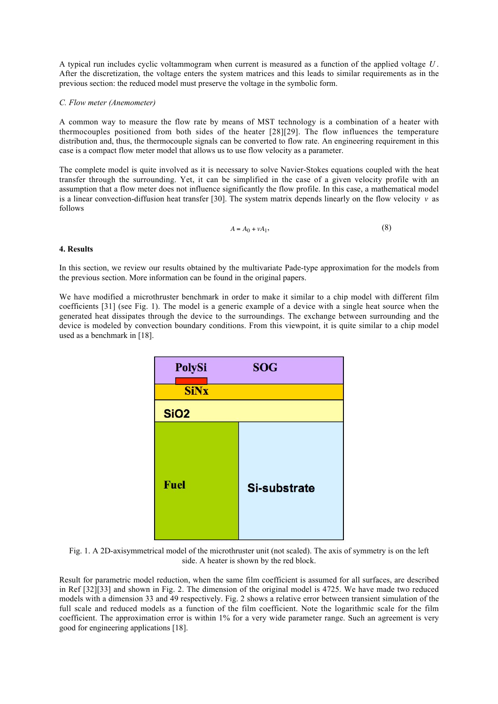A typical run includes cyclic voltammogram when current is measured as a function of the applied voltage *U* . After the discretization, the voltage enters the system matrices and this leads to similar requirements as in the previous section: the reduced model must preserve the voltage in the symbolic form.

## *C. Flow meter (Anemometer)*

A common way to measure the flow rate by means of MST technology is a combination of a heater with thermocouples positioned from both sides of the heater [28][29]. The flow influences the temperature distribution and, thus, the thermocouple signals can be converted to flow rate. An engineering requirement in this case is a compact flow meter model that allows us to use flow velocity as a parameter.

The complete model is quite involved as it is necessary to solve Navier-Stokes equations coupled with the heat transfer through the surrounding. Yet, it can be simplified in the case of a given velocity profile with an assumption that a flow meter does not influence significantly the flow profile. In this case, a mathematical model is a linear convection-diffusion heat transfer [30]. The system matrix depends linearly on the flow velocity  $v$  as follows

$$
A = A_0 + vA_1,\tag{8}
$$

# **4. Results**

In this section, we review our results obtained by the multivariate Pade-type approximation for the models from the previous section. More information can be found in the original papers.

We have modified a microthruster benchmark in order to make it similar to a chip model with different film coefficients [31] (see Fig. 1). The model is a generic example of a device with a single heat source when the generated heat dissipates through the device to the surroundings. The exchange between surrounding and the device is modeled by convection boundary conditions. From this viewpoint, it is quite similar to a chip model used as a benchmark in [18].



Fig. 1. A 2D-axisymmetrical model of the microthruster unit (not scaled). The axis of symmetry is on the left side. A heater is shown by the red block.

Result for parametric model reduction, when the same film coefficient is assumed for all surfaces, are described in Ref [32][33] and shown in Fig. 2. The dimension of the original model is 4725. We have made two reduced models with a dimension 33 and 49 respectively. Fig. 2 shows a relative error between transient simulation of the full scale and reduced models as a function of the film coefficient. Note the logarithmic scale for the film coefficient. The approximation error is within 1% for a very wide parameter range. Such an agreement is very good for engineering applications [18].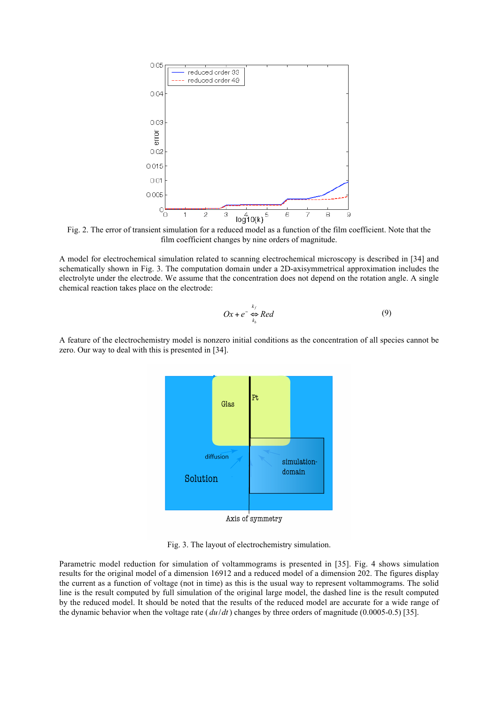

Fig. 2. The error of transient simulation for a reduced model as a function of the film coefficient. Note that the film coefficient changes by nine orders of magnitude.

A model for electrochemical simulation related to scanning electrochemical microscopy is described in [34] and schematically shown in Fig. 3. The computation domain under a 2D-axisymmetrical approximation includes the electrolyte under the electrode. We assume that the concentration does not depend on the rotation angle. A single chemical reaction takes place on the electrode:

$$
Ox + e^{-} \underset{k_b}{\Leftrightarrow} Red
$$
 (9)

A feature of the electrochemistry model is nonzero initial conditions as the concentration of all species cannot be zero. Our way to deal with this is presented in [34].



Axis of symmetry

Fig. 3. The layout of electrochemistry simulation.

Parametric model reduction for simulation of voltammograms is presented in [35]. Fig. 4 shows simulation results for the original model of a dimension 16912 and a reduced model of a dimension 202. The figures display the current as a function of voltage (not in time) as this is the usual way to represent voltammograms. The solid line is the result computed by full simulation of the original large model, the dashed line is the result computed by the reduced model. It should be noted that the results of the reduced model are accurate for a wide range of the dynamic behavior when the voltage rate ( *du*/*dt*) changes by three orders of magnitude (0.0005-0.5) [35].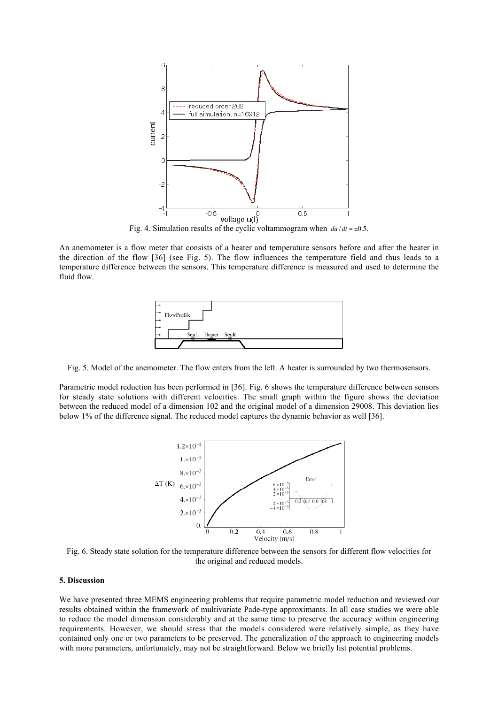

Fig. 4. Simulation results of the cyclic voltammogram when  $du/dt = \pm 0.5$ .

the direction of the flow [36] (see Fig. 5). The flow influences the temperature field and thus leads to a An anemometer is a flow meter that consists of a heater and temperature sensors before and after the heater in temperature difference between the sensors. This temperature difference is measured and used to determine the fluid flow.



Fig. 5. Model of the anemometer. The flow enters from the left. A heater is surrounded by two thermosensors.

Parametric model reduction has been performed in [36]. Fig. 6 shows the temperature difference between sensors for steady state solutions with different velocities. The small graph within the figure shows the deviation between the reduced model of a dimension 102 and the original model of a dimension 29008. This deviation lies below 1% of the difference signal. The reduced model captures the dynamic behavior as well [36].



Fig. 6. Steady state solution for the temperature difference between the sensors for different flow velocities for the original and reduced models.

# **5. Discussion**

We have presented three MEMS engineering problems that require parametric model reduction and reviewed our results obtained within the framework of multivariate Pade-type approximants. In all case studies we were able to reduce the model dimension considerably and at the same time to preserve the accuracy within engineering requirements. However, we should stress that the models considered were relatively simple, as they have contained only one or two parameters to be preserved. The generalization of the approach to engineering models with more parameters, unfortunately, may not be straightforward. Below we briefly list potential problems.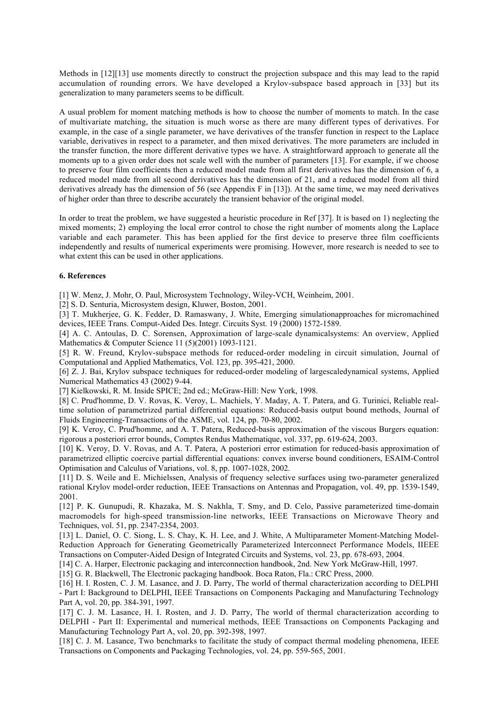Methods in [12][13] use moments directly to construct the projection subspace and this may lead to the rapid accumulation of rounding errors. We have developed a Krylov-subspace based approach in [33] but its generalization to many parameters seems to be difficult.

A usual problem for moment matching methods is how to choose the number of moments to match. In the case of multivariate matching, the situation is much worse as there are many different types of derivatives. For example, in the case of a single parameter, we have derivatives of the transfer function in respect to the Laplace variable, derivatives in respect to a parameter, and then mixed derivatives. The more parameters are included in the transfer function, the more different derivative types we have. A straightforward approach to generate all the moments up to a given order does not scale well with the number of parameters [13]. For example, if we choose to preserve four film coefficients then a reduced model made from all first derivatives has the dimension of 6, a reduced model made from all second derivatives has the dimension of 21, and a reduced model from all third derivatives already has the dimension of 56 (see Appendix F in [13]). At the same time, we may need derivatives of higher order than three to describe accurately the transient behavior of the original model.

In order to treat the problem, we have suggested a heuristic procedure in Ref [37]. It is based on 1) neglecting the mixed moments; 2) employing the local error control to chose the right number of moments along the Laplace variable and each parameter. This has been applied for the first device to preserve three film coefficients independently and results of numerical experiments were promising. However, more research is needed to see to what extent this can be used in other applications.

## **6. References**

[1] W. Menz, J. Mohr, O. Paul, Microsystem Technology, Wiley-VCH, Weinheim, 2001.

[2] S. D. Senturia, Microsystem design, Kluwer, Boston, 2001.

[3] T. Mukherjee, G. K. Fedder, D. Ramaswany, J. White, Emerging simulationapproaches for micromachined devices, IEEE Trans. Comput-Aided Des. Integr. Circuits Syst. 19 (2000) 1572-1589.

[4] A. C. Antoulas, D. C. Sorensen, Approximation of large-scale dynamicalsystems: An overview, Applied Mathematics & Computer Science 11 (5)(2001) 1093-1121.

[5] R. W. Freund, Krylov-subspace methods for reduced-order modeling in circuit simulation, Journal of Computational and Applied Mathematics, Vol. 123, pp. 395-421, 2000.

[6] Z. J. Bai, Krylov subspace techniques for reduced-order modeling of largescaledynamical systems, Applied Numerical Mathematics 43 (2002) 9-44.

[7] Kielkowski, R. M. Inside SPICE; 2nd ed.; McGraw-Hill: New York, 1998.

[8] C. Prud'homme, D. V. Rovas, K. Veroy, L. Machiels, Y. Maday, A. T. Patera, and G. Turinici, Reliable realtime solution of parametrized partial differential equations: Reduced-basis output bound methods, Journal of Fluids Engineering-Transactions of the ASME, vol. 124, pp. 70-80, 2002.

[9] K. Veroy, C. Prud'homme, and A. T. Patera, Reduced-basis approximation of the viscous Burgers equation: rigorous a posteriori error bounds, Comptes Rendus Mathematique, vol. 337, pp. 619-624, 2003.

[10] K. Veroy, D. V. Rovas, and A. T. Patera, A posteriori error estimation for reduced-basis approximation of parametrized elliptic coercive partial differential equations: convex inverse bound conditioners, ESAIM-Control Optimisation and Calculus of Variations, vol. 8, pp. 1007-1028, 2002.

[11] D. S. Weile and E. Michielssen, Analysis of frequency selective surfaces using two-parameter generalized rational Krylov model-order reduction, IEEE Transactions on Antennas and Propagation, vol. 49, pp. 1539-1549, 2001.

[12] P. K. Gunupudi, R. Khazaka, M. S. Nakhla, T. Smy, and D. Celo, Passive parameterized time-domain macromodels for high-speed transmission-line networks, IEEE Transactions on Microwave Theory and Techniques, vol. 51, pp. 2347-2354, 2003.

[13] L. Daniel, O. C. Siong, L. S. Chay, K. H. Lee, and J. White, A Multiparameter Moment-Matching Model-Reduction Approach for Generating Geometrically Parameterized Interconnect Performance Models, IIEEE Transactions on Computer-Aided Design of Integrated Circuits and Systems, vol. 23, pp. 678-693, 2004.

[14] C. A. Harper, Electronic packaging and interconnection handbook, 2nd. New York McGraw-Hill, 1997.

[15] G. R. Blackwell, The Electronic packaging handbook. Boca Raton, Fla.: CRC Press, 2000.

[16] H. I. Rosten, C. J. M. Lasance, and J. D. Parry, The world of thermal characterization according to DELPHI - Part I: Background to DELPHI, IEEE Transactions on Components Packaging and Manufacturing Technology Part A, vol. 20, pp. 384-391, 1997.

[17] C. J. M. Lasance, H. I. Rosten, and J. D. Parry, The world of thermal characterization according to DELPHI - Part II: Experimental and numerical methods, IEEE Transactions on Components Packaging and Manufacturing Technology Part A, vol. 20, pp. 392-398, 1997.

[18] C. J. M. Lasance, Two benchmarks to facilitate the study of compact thermal modeling phenomena, IEEE Transactions on Components and Packaging Technologies, vol. 24, pp. 559-565, 2001.